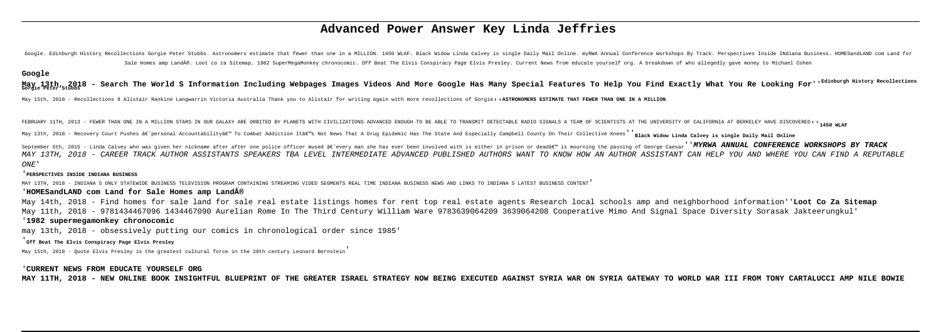# **Advanced Power Answer Key Linda Jeffries**

Google, Edinburgh History Recollections Gorgie Peter Stubbs, Astronomers estimate that fewer than one in a MILLION, 1450 WLAF, Black Widow Linda Calvey is single Daily Mail Online, myRWA Annual Conference Workshops By Trac Sale Homes amp Land®. Loot co za Sitemap. 1982 SuperMegaMonkey chronocomic. Off Beat The Elvis Conspiracy Page Elvis Presley. Current News from educate yourself org. A breakdown of who allegedly gave money to Michael Cohe

### **Google**

#### **May 13th, 2018 - Search The World S Information Including Webpages Images Videos And More Google Has Many Special Features To Help You Find Exactly What You Re Looking For**'' **Edinburgh History Recollections Gorgie Peter Stubbs**

May 15th, 2018 - Recollections 8 Alistair Rankine Langwarrin Victoria Australia Thank you to Alistair for writing again with more recollections of Gorgie, ASTRONOMERS ESTIMATE THAT FEWER THAN ONE IN A MILLION

FERFUARY 11TH. 2013 - FEWER THAN ONE IN A MILLION STARS IN OUR GALAXY ARE ORBITED BY PLANETS WITH CIVILIZATIONS ADVANCED ENOUGH TO BE ABLE TO TRANSMIT DETECTABLE RADIO SIGNALS A TEAM OF SCIENTISTS AT THE UNIVERSITY OF CALI

May 13th, 2018 - Recovery Court Pushes â@~personal Accountabilityâ@" To Combat Addiction Itâ@"s Not News That A Drug Epidemic Has The State And Especially Campbell County On Their Collective Knees' Black Widow Linda Calvey

September 6th, 2015 - Linda Calvey who was given her nickname after after one police officer mused â€~every man she has ever been involved with is either in prison or dead' is mourning the passing of George Caesar''MYRW MAY 13TH, 2018 - CAREER TRACK AUTHOR ASSISTANTS SPEAKERS TBA LEVEL INTERMEDIATE ADVANCED PUBLISHED AUTHORS WANT TO KNOW HOW AN AUTHOR ASSISTANT CAN HELP YOU AND WHERE YOU CAN FIND A REPUTABLE  $ONF'$ 

#### '**PERSPECTIVES INSIDE INDIANA BUSINESS**

MAY 13TH, 2018 - INDIANA S ONLY STATEWIDE BUSINESS TELEVISION PROGRAM CONTAINING STREAMING VIDEO SEGMENTS REAL TIME INDIANA BUSINESS NEWS AND LINKS TO INDIANA S LATEST BUSINESS CONTENT'

#### '**HOMESandLAND com Land for Sale Homes amp Land®**

May 14th, 2018 - Find homes for sale land for sale real estate listings homes for rent top real estate agents Research local schools amp and neighborhood information''**Loot Co Za Sitemap** May 11th, 2018 - 9781434467096 1434467090 Aurelian Rome In The Third Century William Ware 9783639064209 3639064208 Cooperative Mimo And Signal Space Diversity Sorasak Jakteerungkul' '**1982 supermegamonkey chronocomic**

may 13th, 2018 - obsessively putting our comics in chronological order since 1985'

#### '**Off Beat The Elvis Conspiracy Page Elvis Presley**

May 15th, 2018 - Quote Elvis Presley is the greatest cultural force in the 20th century Leonard Bernstein'

#### '**CURRENT NEWS FROM EDUCATE YOURSELF ORG**

**MAY 11TH, 2018 - NEW ONLINE BOOK INSIGHTFUL BLUEPRINT OF THE GREATER ISRAEL STRATEGY NOW BEING EXECUTED AGAINST SYRIA WAR ON SYRIA GATEWAY TO WORLD WAR III FROM TONY CARTALUCCI AMP NILE BOWIE**